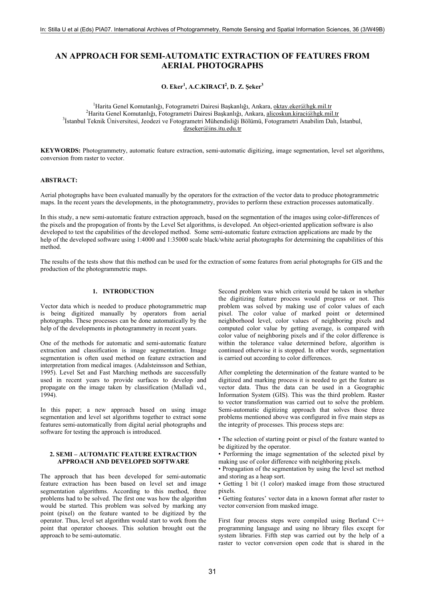# **AN APPROACH FOR SEMI-AUTOMATIC EXTRACTION OF FEATURES FROM AERIAL PHOTOGRAPHS**

**O. Eker<sup>1</sup> , A.C.KIRACI<sup>2</sup> , D. Z. Şeker<sup>3</sup>**

<sup>1</sup> Harita Genel Komutanlığı, Fotogrametri Dairesi Başkanlığı, Ankara, <u>oktay.eker@hgk.mil.tr</u><br><sup>2</sup>Harita Genel Komutanlığı, Estegrametri Dairesi Başkanlığı, Ankara, [oktay.eker@hgk.mil.tr](mailto:oktay.eker@hgk.mil.tr) <sup>2</sup>Harita Genel Komutanlığı, Fotogrametri Dairesi Başkanlığı, Ankara, [alicoskun.kiraci@hgk.mil.tr](mailto:alicoskun.kiraci@hgk.mil.tr) <sup>3</sup>İstanbul Teknik Üniversitesi, Jeodezi ve Fotogrametri Mühendisliği Bölümü, Fotogrametri Anabilim Dalı, İstanbul, [dzseker@ins.itu.edu.tr](mailto:dzseker@ins.itu.edu.tr)

**KEYWORDS:** Photogrammetry, automatic feature extraction, semi-automatic digitizing, image segmentation, level set algorithms, conversion from raster to vector.

#### **ABSTRACT:**

Aerial photographs have been evaluated manually by the operators for the extraction of the vector data to produce photogrammetric maps. In the recent years the developments, in the photogrammetry, provides to perform these extraction processes automatically.

In this study, a new semi-automatic feature extraction approach, based on the segmentation of the images using color-differences of the pixels and the propogation of fronts by the Level Set algorithms, is developed. An object-oriented application software is also developed to test the capabilities of the developed method. Some semi-automatic feature extraction applications are made by the help of the developed software using 1:4000 and 1:35000 scale black/white aerial photographs for determining the capabilities of this method.

The results of the tests show that this method can be used for the extraction of some features from aerial photographs for GIS and the production of the photogrammetric maps.

# **1. INTRODUCTION**

Vector data which is needed to produce photogrammetric map is being digitized manually by operators from aerial photographs. These processes can be done automatically by the help of the developments in photogrammetry in recent years.

One of the methods for automatic and semi-automatic feature extraction and classification is image segmentation. Image segmentation is often used method on feature extraction and interpretation from medical images. (Adalsteinsson and Sethian, 1995). Level Set and Fast Marching methods are successfully used in recent years to provide surfaces to develop and propagate on the image taken by classification (Malladi vd., 1994).

In this paper; a new approach based on using image segmentation and level set algorithms together to extract some features semi-automatically from digital aerial photographs and software for testing the approach is introduced.

#### **2. SEMI – AUTOMATIC FEATURE EXTRACTION APPROACH AND DEVELOPED SOFTWARE**

The approach that has been developed for semi-automatic feature extraction has been based on level set and image segmentation algorithms. According to this method, three problems had to be solved. The first one was how the algorithm would be started. This problem was solved by marking any point (pixel) on the feature wanted to be digitized by the operator. Thus, level set algorithm would start to work from the point that operator chooses. This solution brought out the approach to be semi-automatic.

Second problem was which criteria would be taken in whether the digitizing feature process would progress or not. This problem was solved by making use of color values of each pixel. The color value of marked point or determined neighborhood level, color values of neighboring pixels and computed color value by getting average, is compared with color value of neighboring pixels and if the color difference is within the tolerance value determined before, algorithm is continued otherwise it is stopped. In other words, segmentation is carried out according to color differences.

After completing the determination of the feature wanted to be digitized and marking process it is needed to get the feature as vector data. Thus the data can be used in a Geographic Information System (GIS). This was the third problem. Raster to vector transformation was carried out to solve the problem. Semi-automatic digitizing approach that solves those three problems mentioned above was configured in five main steps as the integrity of processes. This process steps are:

• The selection of starting point or pixel of the feature wanted to be digitized by the operator.

- Performing the image segmentation of the selected pixel by making use of color difference with neighboring pixels.
- Propagation of the segmentation by using the level set method and storing as a heap sort.
- Getting 1 bit (1 color) masked image from those structured pixels.
- Getting features' vector data in a known format after raster to vector conversion from masked image.

First four process steps were compiled using Borland C++ programming language and using no library files except for system libraries. Fifth step was carried out by the help of a raster to vector conversion open code that is shared in the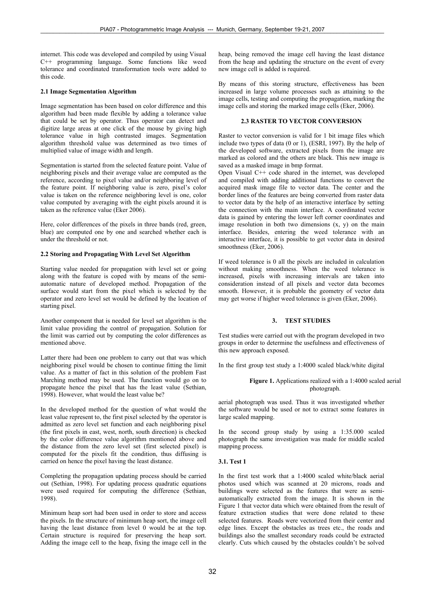internet. This code was developed and compiled by using Visual C++ programming language. Some functions like weed tolerance and coordinated transformation tools were added to this code.

## **2.1 Image Segmentation Algorithm**

Image segmentation has been based on color difference and this algorithm had been made flexible by adding a tolerance value that could be set by operator. Thus operator can detect and digitize large areas at one click of the mouse by giving high tolerance value in high contrasted images. Segmentation algorithm threshold value was determined as two times of multiplied value of image width and length.

Segmentation is started from the selected feature point. Value of neighboring pixels and their average value are computed as the reference, according to pixel value and/or neighboring level of the feature point. If neighboring value is zero, pixel's color value is taken on the reference neighboring level is one, color value computed by averaging with the eight pixels around it is taken as the reference value (Eker 2006).

Here, color differences of the pixels in three bands (red, green, blue) are computed one by one and searched whether each is under the threshold or not.

## **2.2 Storing and Propagating With Level Set Algorithm**

Starting value needed for propagation with level set or going along with the feature is coped with by means of the semiautomatic nature of developed method. Propagation of the surface would start from the pixel which is selected by the operator and zero level set would be defined by the location of starting pixel.

Another component that is needed for level set algorithm is the limit value providing the control of propagation. Solution for the limit was carried out by computing the color differences as mentioned above.

Latter there had been one problem to carry out that was which neighboring pixel would be chosen to continue fitting the limit value. As a matter of fact in this solution of the problem Fast Marching method may be used. The function would go on to propagate hence the pixel that has the least value (Sethian, 1998). However, what would the least value be?

In the developed method for the question of what would the least value represent to, the first pixel selected by the operator is admitted as zero level set function and each neighboring pixel (the first pixels in east, west, north, south direction) is checked by the color difference value algorithm mentioned above and the distance from the zero level set (first selected pixel) is computed for the pixels fit the condition, thus diffusing is carried on hence the pixel having the least distance.

Completing the propagation updating process should be carried out (Sethian, 1998). For updating process quadratic equations were used required for computing the difference (Sethian, 1998).

Minimum heap sort had been used in order to store and access the pixels. In the structure of minimum heap sort, the image cell having the least distance from level 0 would be at the top. Certain structure is required for preserving the heap sort. Adding the image cell to the heap, fixing the image cell in the

heap, being removed the image cell having the least distance from the heap and updating the structure on the event of every new image cell is added is required.

By means of this storing structure, effectiveness has been increased in large volume processes such as attaining to the image cells, testing and computing the propagation, marking the image cells and storing the marked image cells (Eker, 2006).

# **2.3 RASTER TO VECTOR CONVERSION**

Raster to vector conversion is valid for 1 bit image files which include two types of data (0 or 1), (ESRI, 1997). By the help of the developed software, extracted pixels from the image are marked as colored and the others are black. This new image is saved as a masked image in bmp format.

Open Visual C++ code shared in the internet, was developed and compiled with adding additional functions to convert the acquired mask image file to vector data. The center and the border lines of the features are being converted from raster data to vector data by the help of an interactive interface by setting the connection with the main interface. A coordinated vector data is gained by entering the lower left corner coordinates and image resolution in both two dimensions  $(x, y)$  on the main interface. Besides, entering the weed tolerance with an interactive interface, it is possible to get vector data in desired smoothness (Eker, 2006).

If weed tolerance is 0 all the pixels are included in calculation without making smoothness. When the weed tolerance is increased, pixels with increasing intervals are taken into consideration instead of all pixels and vector data becomes smooth. However, it is probable the geometry of vector data may get worse if higher weed tolerance is given (Eker, 2006).

## **3. TEST STUDIES**

Test studies were carried out with the program developed in two groups in order to determine the usefulness and effectiveness of this new approach exposed.

In the first group test study a 1:4000 scaled black/white digital

#### **Figure 1.** Applications realized with a 1:4000 scaled aerial photograph.

aerial photograph was used. Thus it was investigated whether the software would be used or not to extract some features in large scaled mapping.

In the second group study by using a 1:35.000 scaled photograph the same investigation was made for middle scaled mapping process.

## **3.1. Test 1**

In the first test work that a 1:4000 scaled white/black aerial photos used which was scanned at 20 microns, roads and buildings were selected as the features that were as semiautomatically extracted from the image. It is shown in the Figure 1 that vector data which were obtained from the result of feature extraction studies that were done related to these selected features. Roads were vectorized from their center and edge lines. Except the obstacles as trees etc., the roads and buildings also the smallest secondary roads could be extracted clearly. Cuts which caused by the obstacles couldn't be solved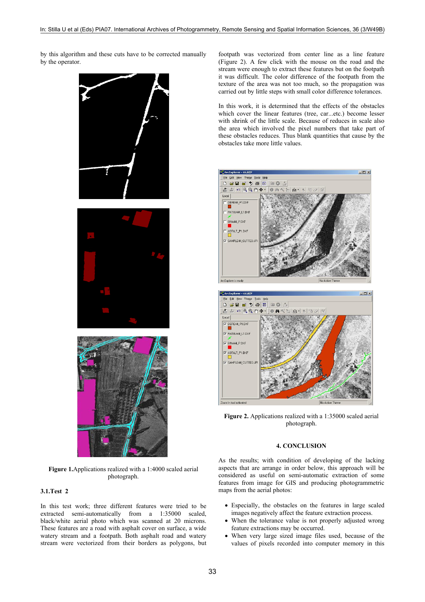by this algorithm and these cuts have to be corrected manually by the operator.





 $\overline{\phantom{a}}$ 



**Figure 1.**Applications realized with a 1:4000 scaled aerial photograph.

# **3.1.Test 2**

In this test work; three different features were tried to be extracted semi-automatically from a 1:35000 scaled, black/white aerial photo which was scanned at 20 microns. These features are a road with asphalt cover on surface, a wide watery stream and a footpath. Both asphalt road and watery stream were vectorized from their borders as polygons, but footpath was vectorized from center line as a line feature (Figure 2). A few click with the mouse on the road and the stream were enough to extract these features but on the footpath it was difficult. The color difference of the footpath from the texture of the area was not too much, so the propagation was carried out by little steps with small color difference tolerances.

In this work, it is determined that the effects of the obstacles which cover the linear features (tree, car...etc.) become lesser with shrink of the little scale. Because of reduces in scale also the area which involved the pixel numbers that take part of these obstacles reduces. Thus blank quantities that cause by the obstacles take more little values.



Figure 2. Applications realized with a 1:35000 scaled aerial photograph.

# **4. CONCLUSION**

As the results; with condition of developing of the lacking aspects that are arrange in order below, this approach will be considered as useful on semi-automatic extraction of some features from image for GIS and producing photogrammetric maps from the aerial photos:

- Especially, the obstacles on the features in large scaled images negatively affect the feature extraction process.
- When the tolerance value is not properly adjusted wrong feature extractions may be occurred.
- When very large sized image files used, because of the values of pixels recorded into computer memory in this